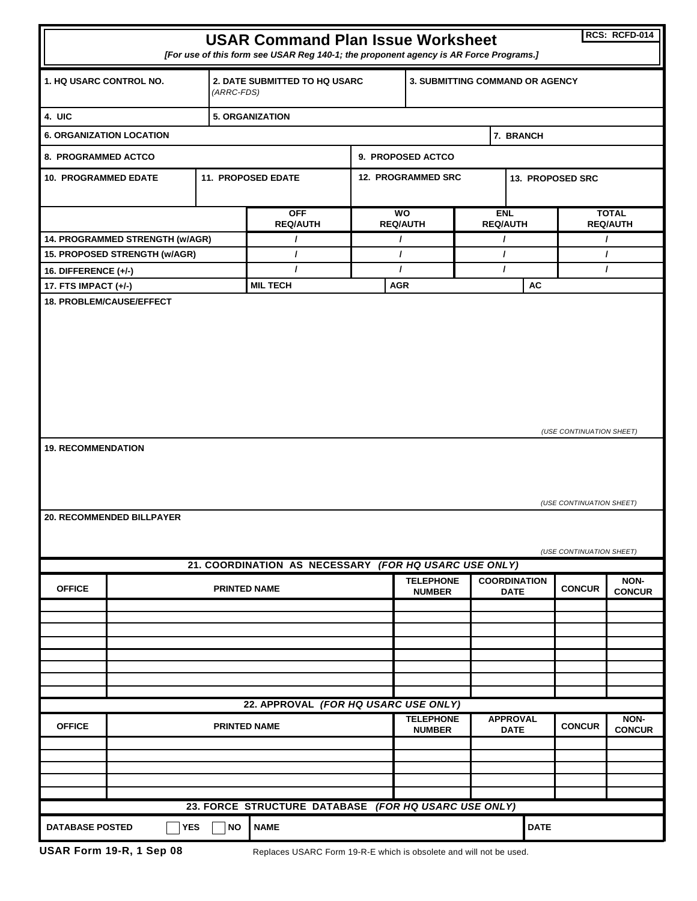| RCS: RCFD-014<br><b>USAR Command Plan Issue Worksheet</b>                                                                                         |  |                     |                                                      |                                   |                                                                     |                                 |                  |                                 |                       |  |
|---------------------------------------------------------------------------------------------------------------------------------------------------|--|---------------------|------------------------------------------------------|-----------------------------------|---------------------------------------------------------------------|---------------------------------|------------------|---------------------------------|-----------------------|--|
| [For use of this form see USAR Reg 140-1; the proponent agency is AR Force Programs.]                                                             |  |                     |                                                      |                                   |                                                                     |                                 |                  |                                 |                       |  |
| 1. HQ USARC CONTROL NO.                                                                                                                           |  |                     | <b>2. DATE SUBMITTED TO HQ USARC</b><br>(ARRC-FDS)   |                                   |                                                                     | 3. SUBMITTING COMMAND OR AGENCY |                  |                                 |                       |  |
| 4. UIC                                                                                                                                            |  |                     | <b>5. ORGANIZATION</b>                               |                                   |                                                                     |                                 |                  |                                 |                       |  |
| <b>6. ORGANIZATION LOCATION</b>                                                                                                                   |  |                     |                                                      | 7. BRANCH                         |                                                                     |                                 |                  |                                 |                       |  |
| 8. PROGRAMMED ACTCO                                                                                                                               |  |                     |                                                      |                                   | 9. PROPOSED ACTCO                                                   |                                 |                  |                                 |                       |  |
| <b>10. PROGRAMMED EDATE</b>                                                                                                                       |  |                     | <b>11. PROPOSED EDATE</b>                            |                                   | <b>12. PROGRAMMED SRC</b>                                           |                                 | 13. PROPOSED SRC |                                 |                       |  |
|                                                                                                                                                   |  |                     | <b>OFF</b><br><b>REQ/AUTH</b>                        | <b>WO</b><br><b>REQ/AUTH</b>      |                                                                     | <b>ENL</b><br><b>REQ/AUTH</b>   |                  | <b>TOTAL</b><br><b>REQ/AUTH</b> |                       |  |
| 14. PROGRAMMED STRENGTH (w/AGR)                                                                                                                   |  |                     | $\prime$                                             | $\prime$                          |                                                                     | $\prime$                        |                  | T                               |                       |  |
| 15. PROPOSED STRENGTH (w/AGR)                                                                                                                     |  |                     | $\prime$                                             | $\prime$                          |                                                                     | $\prime$                        |                  | $\prime$                        |                       |  |
| <b>16. DIFFERENCE (+/-)</b>                                                                                                                       |  |                     | $\mathbf{I}$                                         | $\prime$                          |                                                                     | $\prime$                        |                  | $\prime$                        |                       |  |
| 17. FTS IMPACT (+/-)<br><b>18. PROBLEM/CAUSE/EFFECT</b>                                                                                           |  |                     | <b>MIL TECH</b>                                      | <b>AGR</b>                        |                                                                     |                                 | AC               |                                 |                       |  |
| (USE CONTINUATION SHEET)<br><b>19. RECOMMENDATION</b><br>(USE CONTINUATION SHEET)<br><b>20. RECOMMENDED BILLPAYER</b><br>(USE CONTINUATION SHEET) |  |                     |                                                      |                                   |                                                                     |                                 |                  |                                 |                       |  |
| 21. COORDINATION AS NECESSARY (FOR HQ USARC USE ONLY)                                                                                             |  |                     |                                                      |                                   |                                                                     |                                 |                  |                                 |                       |  |
| <b>OFFICE</b>                                                                                                                                     |  | <b>PRINTED NAME</b> |                                                      | <b>TELEPHONE</b><br><b>NUMBER</b> | <b>COORDINATION</b><br><b>DATE</b>                                  |                                 | <b>CONCUR</b>    | NON-<br><b>CONCUR</b>           |                       |  |
|                                                                                                                                                   |  |                     |                                                      |                                   |                                                                     |                                 |                  |                                 |                       |  |
|                                                                                                                                                   |  |                     |                                                      |                                   |                                                                     |                                 |                  |                                 |                       |  |
|                                                                                                                                                   |  |                     |                                                      |                                   |                                                                     |                                 |                  |                                 |                       |  |
|                                                                                                                                                   |  |                     |                                                      |                                   |                                                                     |                                 |                  |                                 |                       |  |
| 22. APPROVAL (FOR HQ USARC USE ONLY)                                                                                                              |  |                     |                                                      |                                   |                                                                     |                                 |                  |                                 |                       |  |
| <b>OFFICE</b>                                                                                                                                     |  |                     | <b>PRINTED NAME</b>                                  |                                   | <b>TELEPHONE</b><br><b>APPROVAL</b><br><b>DATE</b><br><b>NUMBER</b> |                                 |                  | <b>CONCUR</b>                   | NON-<br><b>CONCUR</b> |  |
|                                                                                                                                                   |  |                     |                                                      |                                   |                                                                     |                                 |                  |                                 |                       |  |
|                                                                                                                                                   |  |                     |                                                      |                                   |                                                                     |                                 |                  |                                 |                       |  |
|                                                                                                                                                   |  |                     |                                                      |                                   |                                                                     |                                 |                  |                                 |                       |  |
|                                                                                                                                                   |  |                     | 23. FORCE STRUCTURE DATABASE (FOR HQ USARC USE ONLY) |                                   |                                                                     |                                 |                  |                                 |                       |  |
| <b>DATE</b><br><b>DATABASE POSTED</b><br><b>YES</b><br><b>NO</b><br><b>NAME</b>                                                                   |  |                     |                                                      |                                   |                                                                     |                                 |                  |                                 |                       |  |